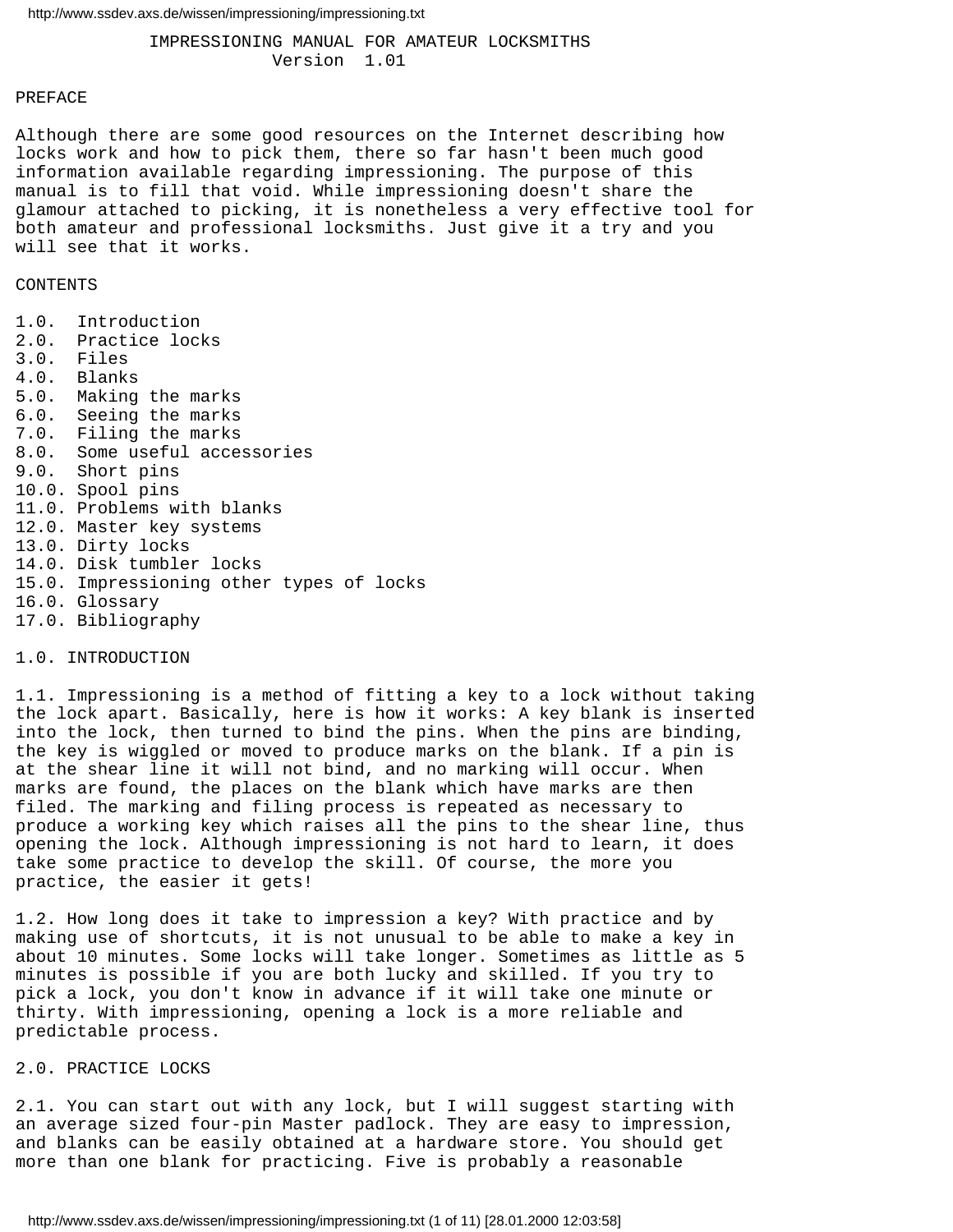IMPRESSIONING MANUAL FOR AMATEUR LOCKSMITHS Version 1.01

#### PREFACE

Although there are some good resources on the Internet describing how locks work and how to pick them, there so far hasn't been much good information available regarding impressioning. The purpose of this manual is to fill that void. While impressioning doesn't share the glamour attached to picking, it is nonetheless a very effective tool for both amateur and professional locksmiths. Just give it a try and you will see that it works.

# CONTENTS

1.0. Introduction 2.0. Practice locks 3.0. Files 4.0. Blanks 5.0. Making the marks 6.0. Seeing the marks 7.0. Filing the marks 8.0. Some useful accessories 9.0. Short pins 10.0. Spool pins 11.0. Problems with blanks 12.0. Master key systems 13.0. Dirty locks 14.0. Disk tumbler locks 15.0. Impressioning other types of locks 16.0. Glossary 17.0. Bibliography

#### 1.0. INTRODUCTION

1.1. Impressioning is a method of fitting a key to a lock without taking the lock apart. Basically, here is how it works: A key blank is inserted into the lock, then turned to bind the pins. When the pins are binding, the key is wiggled or moved to produce marks on the blank. If a pin is at the shear line it will not bind, and no marking will occur. When marks are found, the places on the blank which have marks are then filed. The marking and filing process is repeated as necessary to produce a working key which raises all the pins to the shear line, thus opening the lock. Although impressioning is not hard to learn, it does take some practice to develop the skill. Of course, the more you practice, the easier it gets!

1.2. How long does it take to impression a key? With practice and by making use of shortcuts, it is not unusual to be able to make a key in about 10 minutes. Some locks will take longer. Sometimes as little as 5 minutes is possible if you are both lucky and skilled. If you try to pick a lock, you don't know in advance if it will take one minute or thirty. With impressioning, opening a lock is a more reliable and predictable process.

# 2.0. PRACTICE LOCKS

2.1. You can start out with any lock, but I will suggest starting with an average sized four-pin Master padlock. They are easy to impression, and blanks can be easily obtained at a hardware store. You should get more than one blank for practicing. Five is probably a reasonable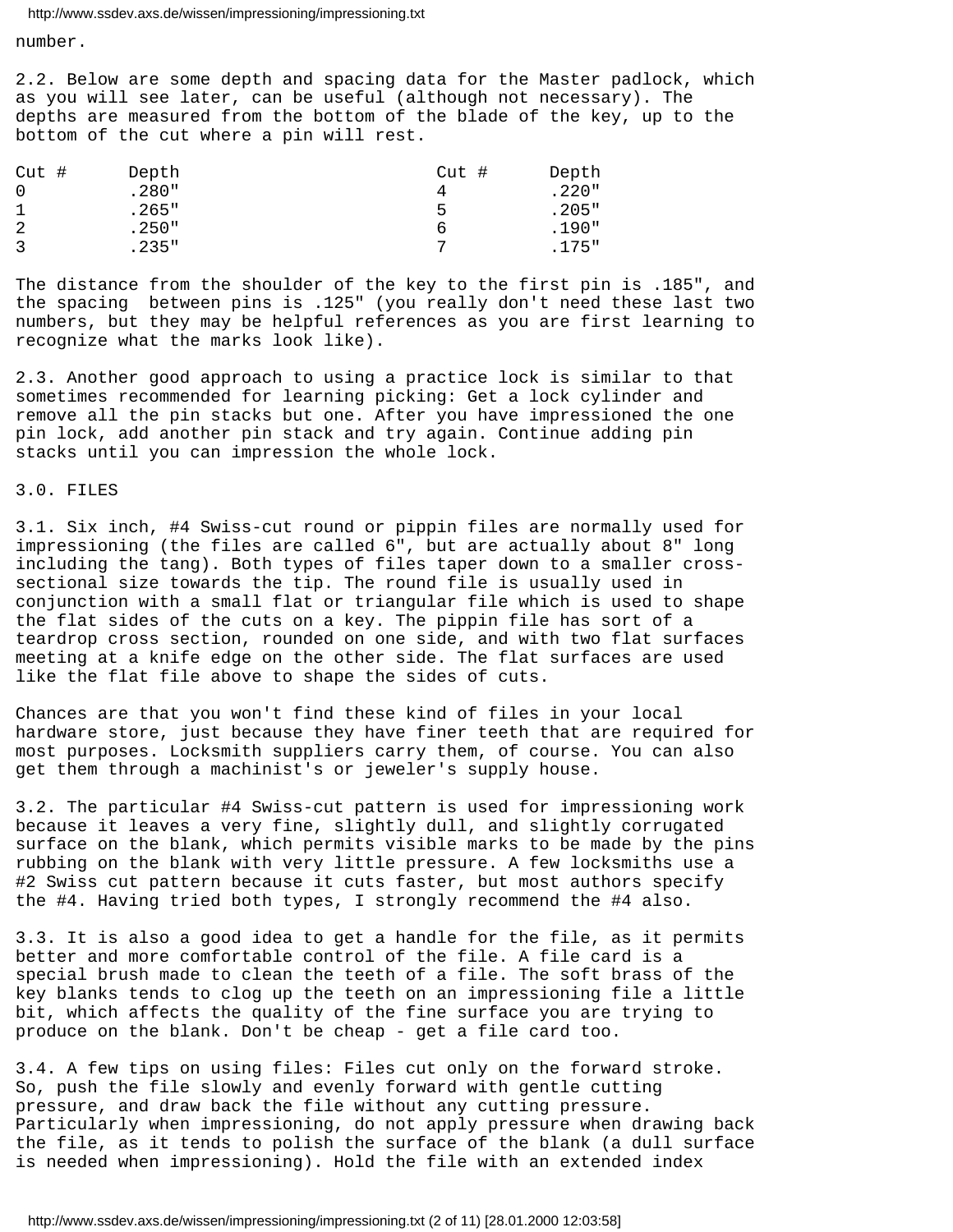number.

2.2. Below are some depth and spacing data for the Master padlock, which as you will see later, can be useful (although not necessary). The depths are measured from the bottom of the blade of the key, up to the bottom of the cut where a pin will rest.

| $Cut$ # | Depth   | Cut# | Depth    |
|---------|---------|------|----------|
|         | .280"   |      | $.220$ " |
|         | .265"   | 5    | .205"    |
| 2       | .250"   | ь    | .190"    |
|         | . 235 " |      | .175"    |

The distance from the shoulder of the key to the first pin is .185", and the spacing between pins is .125" (you really don't need these last two numbers, but they may be helpful references as you are first learning to recognize what the marks look like).

2.3. Another good approach to using a practice lock is similar to that sometimes recommended for learning picking: Get a lock cylinder and remove all the pin stacks but one. After you have impressioned the one pin lock, add another pin stack and try again. Continue adding pin stacks until you can impression the whole lock.

# 3.0. FILES

3.1. Six inch, #4 Swiss-cut round or pippin files are normally used for impressioning (the files are called 6", but are actually about 8" long including the tang). Both types of files taper down to a smaller crosssectional size towards the tip. The round file is usually used in conjunction with a small flat or triangular file which is used to shape the flat sides of the cuts on a key. The pippin file has sort of a teardrop cross section, rounded on one side, and with two flat surfaces meeting at a knife edge on the other side. The flat surfaces are used like the flat file above to shape the sides of cuts.

Chances are that you won't find these kind of files in your local hardware store, just because they have finer teeth that are required for most purposes. Locksmith suppliers carry them, of course. You can also get them through a machinist's or jeweler's supply house.

3.2. The particular #4 Swiss-cut pattern is used for impressioning work because it leaves a very fine, slightly dull, and slightly corrugated surface on the blank, which permits visible marks to be made by the pins rubbing on the blank with very little pressure. A few locksmiths use a #2 Swiss cut pattern because it cuts faster, but most authors specify the #4. Having tried both types, I strongly recommend the #4 also.

3.3. It is also a good idea to get a handle for the file, as it permits better and more comfortable control of the file. A file card is a special brush made to clean the teeth of a file. The soft brass of the key blanks tends to clog up the teeth on an impressioning file a little bit, which affects the quality of the fine surface you are trying to produce on the blank. Don't be cheap - get a file card too.

3.4. A few tips on using files: Files cut only on the forward stroke. So, push the file slowly and evenly forward with gentle cutting pressure, and draw back the file without any cutting pressure. Particularly when impressioning, do not apply pressure when drawing back the file, as it tends to polish the surface of the blank (a dull surface is needed when impressioning). Hold the file with an extended index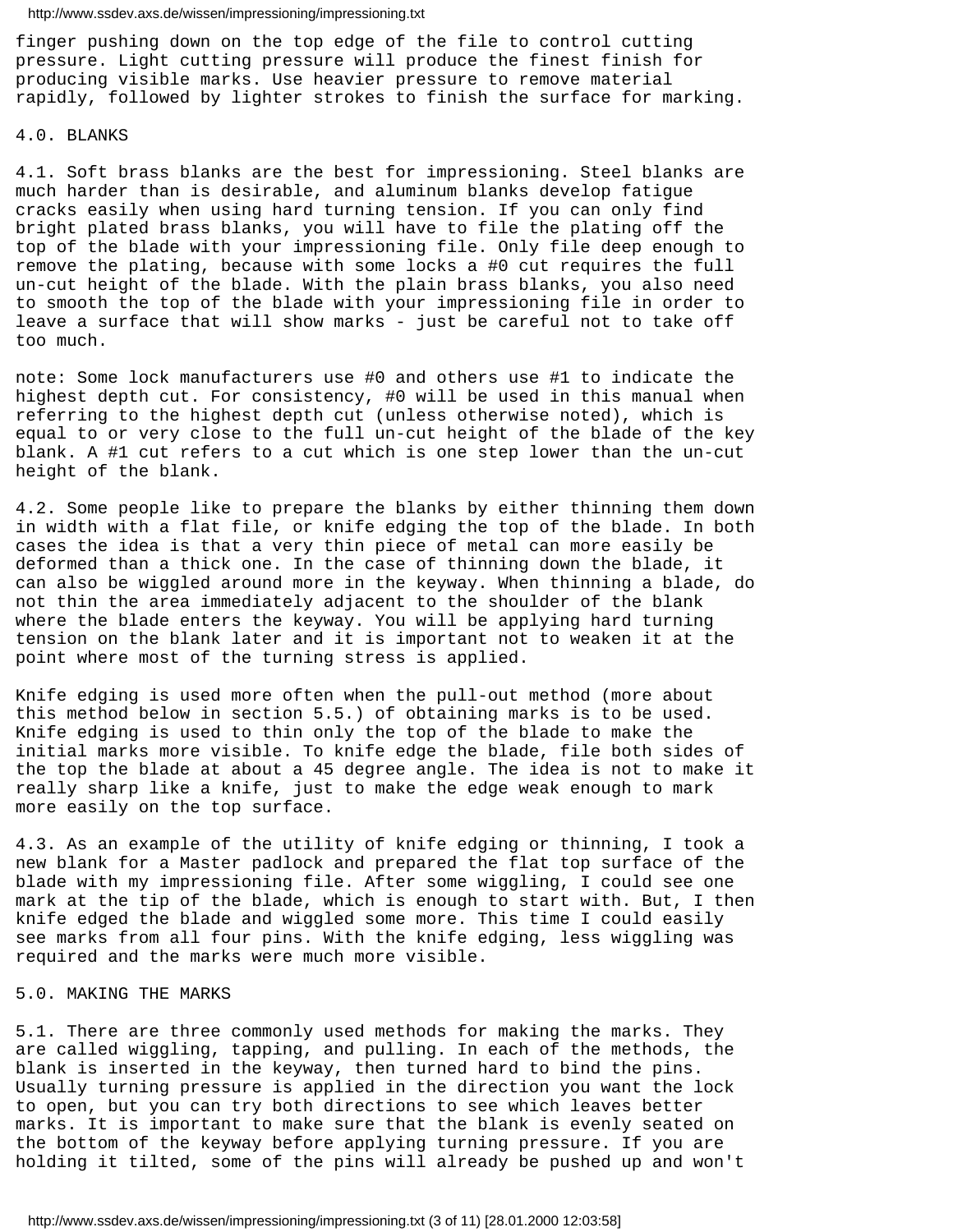finger pushing down on the top edge of the file to control cutting pressure. Light cutting pressure will produce the finest finish for producing visible marks. Use heavier pressure to remove material rapidly, followed by lighter strokes to finish the surface for marking.

# 4.0. BLANKS

4.1. Soft brass blanks are the best for impressioning. Steel blanks are much harder than is desirable, and aluminum blanks develop fatigue cracks easily when using hard turning tension. If you can only find bright plated brass blanks, you will have to file the plating off the top of the blade with your impressioning file. Only file deep enough to remove the plating, because with some locks a #0 cut requires the full un-cut height of the blade. With the plain brass blanks, you also need to smooth the top of the blade with your impressioning file in order to leave a surface that will show marks - just be careful not to take off too much.

note: Some lock manufacturers use #0 and others use #1 to indicate the highest depth cut. For consistency, #0 will be used in this manual when referring to the highest depth cut (unless otherwise noted), which is equal to or very close to the full un-cut height of the blade of the key blank. A #1 cut refers to a cut which is one step lower than the un-cut height of the blank.

4.2. Some people like to prepare the blanks by either thinning them down in width with a flat file, or knife edging the top of the blade. In both cases the idea is that a very thin piece of metal can more easily be deformed than a thick one. In the case of thinning down the blade, it can also be wiggled around more in the keyway. When thinning a blade, do not thin the area immediately adjacent to the shoulder of the blank where the blade enters the keyway. You will be applying hard turning tension on the blank later and it is important not to weaken it at the point where most of the turning stress is applied.

Knife edging is used more often when the pull-out method (more about this method below in section 5.5.) of obtaining marks is to be used. Knife edging is used to thin only the top of the blade to make the initial marks more visible. To knife edge the blade, file both sides of the top the blade at about a 45 degree angle. The idea is not to make it really sharp like a knife, just to make the edge weak enough to mark more easily on the top surface.

4.3. As an example of the utility of knife edging or thinning, I took a new blank for a Master padlock and prepared the flat top surface of the blade with my impressioning file. After some wiggling, I could see one mark at the tip of the blade, which is enough to start with. But, I then knife edged the blade and wiggled some more. This time I could easily see marks from all four pins. With the knife edging, less wiggling was required and the marks were much more visible.

# 5.0. MAKING THE MARKS

5.1. There are three commonly used methods for making the marks. They are called wiggling, tapping, and pulling. In each of the methods, the blank is inserted in the keyway, then turned hard to bind the pins. Usually turning pressure is applied in the direction you want the lock to open, but you can try both directions to see which leaves better marks. It is important to make sure that the blank is evenly seated on the bottom of the keyway before applying turning pressure. If you are holding it tilted, some of the pins will already be pushed up and won't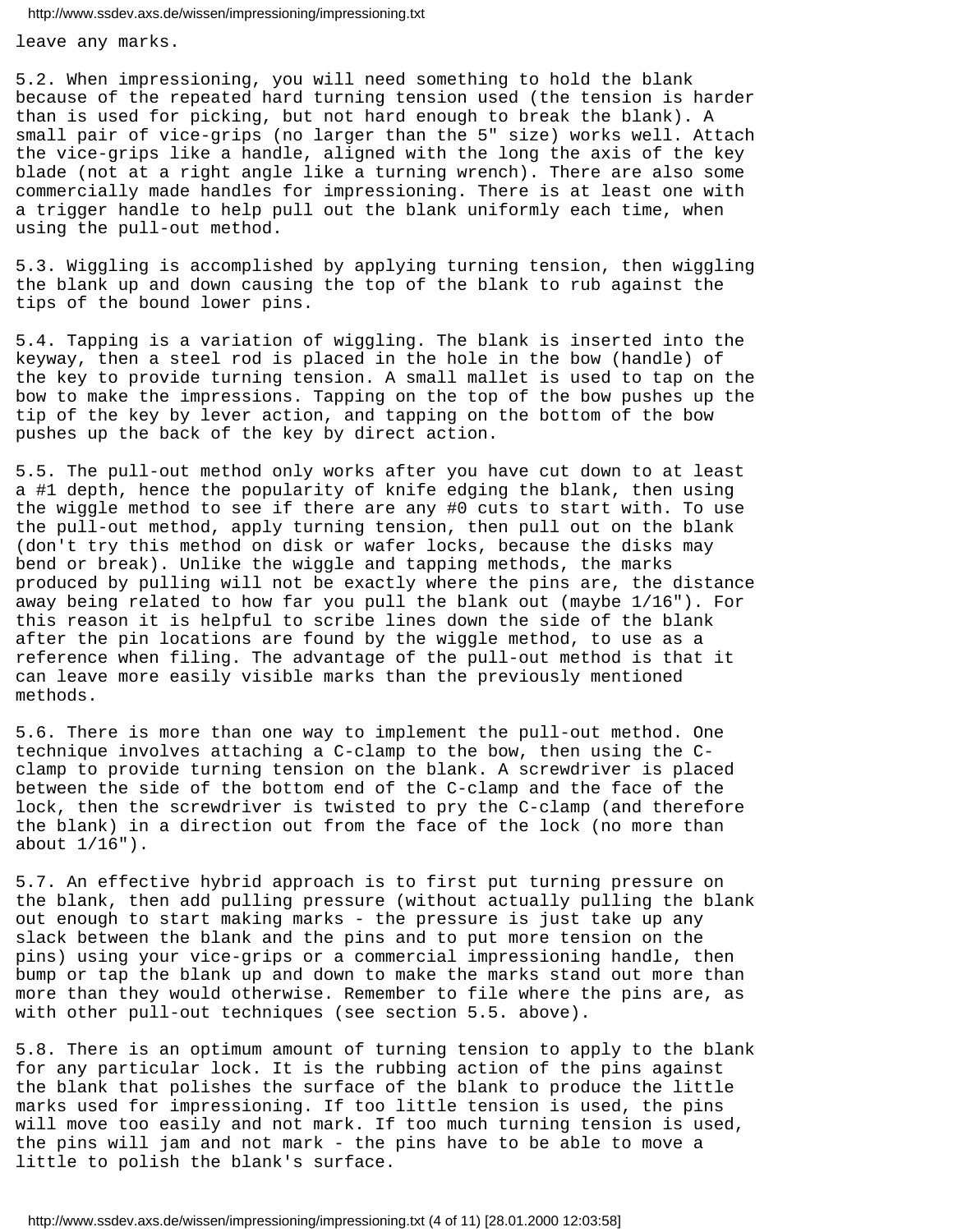leave any marks.

5.2. When impressioning, you will need something to hold the blank because of the repeated hard turning tension used (the tension is harder than is used for picking, but not hard enough to break the blank). A small pair of vice-grips (no larger than the 5" size) works well. Attach the vice-grips like a handle, aligned with the long the axis of the key blade (not at a right angle like a turning wrench). There are also some commercially made handles for impressioning. There is at least one with a trigger handle to help pull out the blank uniformly each time, when using the pull-out method.

5.3. Wiggling is accomplished by applying turning tension, then wiggling the blank up and down causing the top of the blank to rub against the tips of the bound lower pins.

5.4. Tapping is a variation of wiggling. The blank is inserted into the keyway, then a steel rod is placed in the hole in the bow (handle) of the key to provide turning tension. A small mallet is used to tap on the bow to make the impressions. Tapping on the top of the bow pushes up the tip of the key by lever action, and tapping on the bottom of the bow pushes up the back of the key by direct action.

5.5. The pull-out method only works after you have cut down to at least a #1 depth, hence the popularity of knife edging the blank, then using the wiggle method to see if there are any #0 cuts to start with. To use the pull-out method, apply turning tension, then pull out on the blank (don't try this method on disk or wafer locks, because the disks may bend or break). Unlike the wiggle and tapping methods, the marks produced by pulling will not be exactly where the pins are, the distance away being related to how far you pull the blank out (maybe 1/16"). For this reason it is helpful to scribe lines down the side of the blank after the pin locations are found by the wiggle method, to use as a reference when filing. The advantage of the pull-out method is that it can leave more easily visible marks than the previously mentioned methods.

5.6. There is more than one way to implement the pull-out method. One technique involves attaching a C-clamp to the bow, then using the Cclamp to provide turning tension on the blank. A screwdriver is placed between the side of the bottom end of the C-clamp and the face of the lock, then the screwdriver is twisted to pry the C-clamp (and therefore the blank) in a direction out from the face of the lock (no more than about 1/16").

5.7. An effective hybrid approach is to first put turning pressure on the blank, then add pulling pressure (without actually pulling the blank out enough to start making marks - the pressure is just take up any slack between the blank and the pins and to put more tension on the pins) using your vice-grips or a commercial impressioning handle, then bump or tap the blank up and down to make the marks stand out more than more than they would otherwise. Remember to file where the pins are, as with other pull-out techniques (see section 5.5. above).

5.8. There is an optimum amount of turning tension to apply to the blank for any particular lock. It is the rubbing action of the pins against the blank that polishes the surface of the blank to produce the little marks used for impressioning. If too little tension is used, the pins will move too easily and not mark. If too much turning tension is used, the pins will jam and not mark - the pins have to be able to move a little to polish the blank's surface.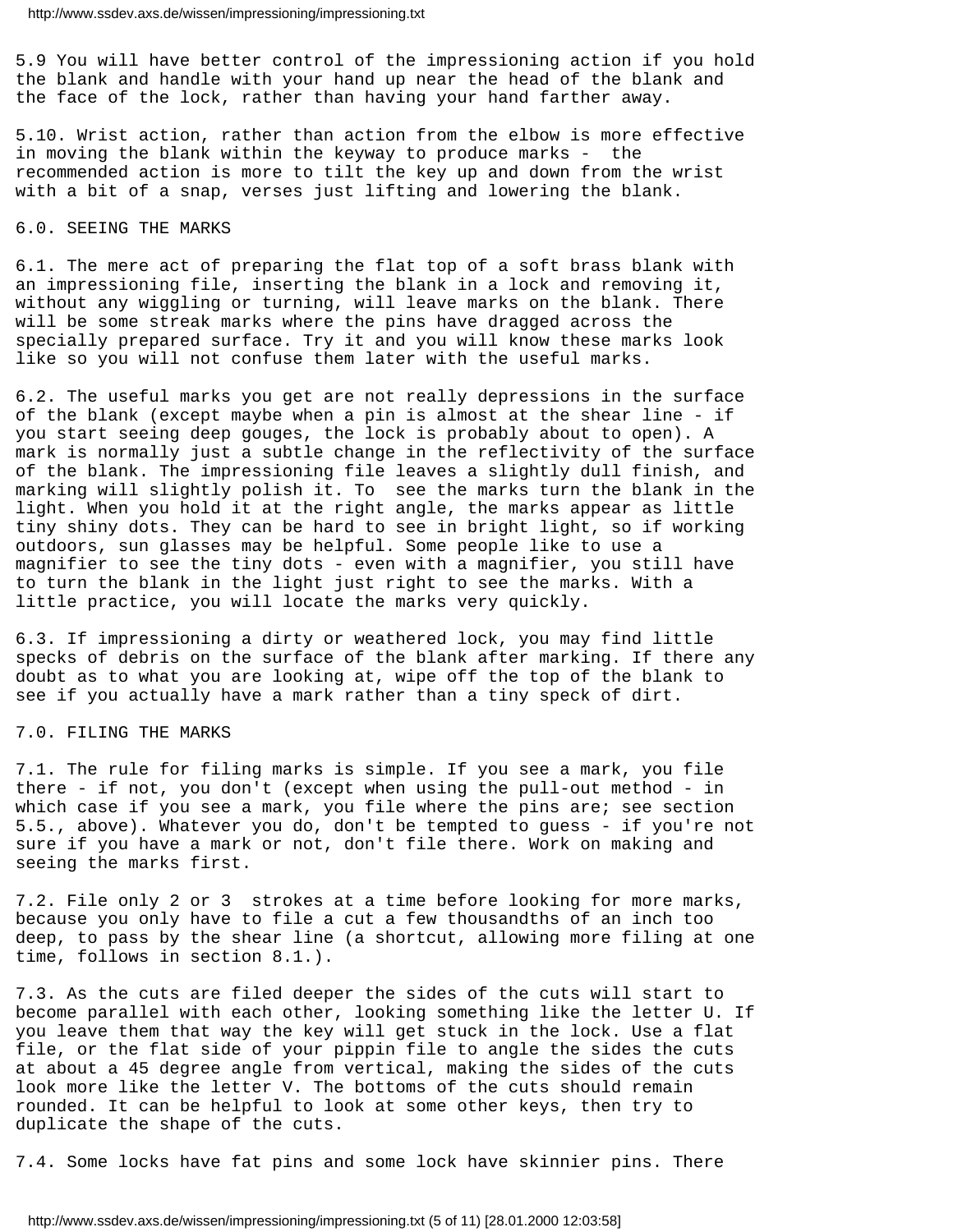5.9 You will have better control of the impressioning action if you hold the blank and handle with your hand up near the head of the blank and the face of the lock, rather than having your hand farther away.

5.10. Wrist action, rather than action from the elbow is more effective in moving the blank within the keyway to produce marks - the recommended action is more to tilt the key up and down from the wrist with a bit of a snap, verses just lifting and lowering the blank.

# 6.0. SEEING THE MARKS

6.1. The mere act of preparing the flat top of a soft brass blank with an impressioning file, inserting the blank in a lock and removing it, without any wiggling or turning, will leave marks on the blank. There will be some streak marks where the pins have dragged across the specially prepared surface. Try it and you will know these marks look like so you will not confuse them later with the useful marks.

6.2. The useful marks you get are not really depressions in the surface of the blank (except maybe when a pin is almost at the shear line - if you start seeing deep gouges, the lock is probably about to open). A mark is normally just a subtle change in the reflectivity of the surface of the blank. The impressioning file leaves a slightly dull finish, and marking will slightly polish it. To see the marks turn the blank in the light. When you hold it at the right angle, the marks appear as little tiny shiny dots. They can be hard to see in bright light, so if working outdoors, sun glasses may be helpful. Some people like to use a magnifier to see the tiny dots - even with a magnifier, you still have to turn the blank in the light just right to see the marks. With a little practice, you will locate the marks very quickly.

6.3. If impressioning a dirty or weathered lock, you may find little specks of debris on the surface of the blank after marking. If there any doubt as to what you are looking at, wipe off the top of the blank to see if you actually have a mark rather than a tiny speck of dirt.

## 7.0. FILING THE MARKS

7.1. The rule for filing marks is simple. If you see a mark, you file there - if not, you don't (except when using the pull-out method - in which case if you see a mark, you file where the pins are; see section 5.5., above). Whatever you do, don't be tempted to guess - if you're not sure if you have a mark or not, don't file there. Work on making and seeing the marks first.

7.2. File only 2 or 3 strokes at a time before looking for more marks, because you only have to file a cut a few thousandths of an inch too deep, to pass by the shear line (a shortcut, allowing more filing at one time, follows in section 8.1.).

7.3. As the cuts are filed deeper the sides of the cuts will start to become parallel with each other, looking something like the letter U. If you leave them that way the key will get stuck in the lock. Use a flat file, or the flat side of your pippin file to angle the sides the cuts at about a 45 degree angle from vertical, making the sides of the cuts look more like the letter V. The bottoms of the cuts should remain rounded. It can be helpful to look at some other keys, then try to duplicate the shape of the cuts.

7.4. Some locks have fat pins and some lock have skinnier pins. There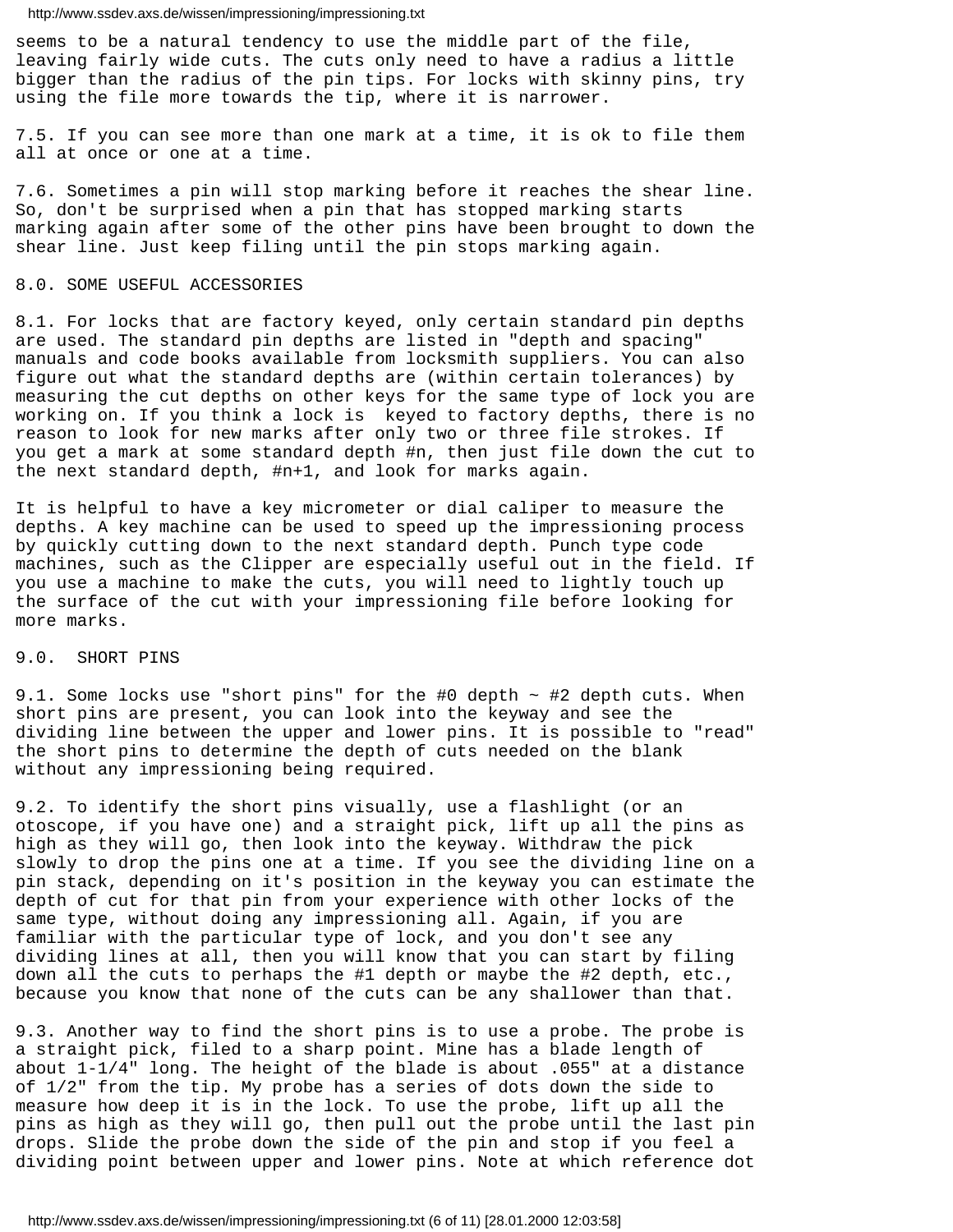seems to be a natural tendency to use the middle part of the file, leaving fairly wide cuts. The cuts only need to have a radius a little bigger than the radius of the pin tips. For locks with skinny pins, try using the file more towards the tip, where it is narrower.

7.5. If you can see more than one mark at a time, it is ok to file them all at once or one at a time.

7.6. Sometimes a pin will stop marking before it reaches the shear line. So, don't be surprised when a pin that has stopped marking starts marking again after some of the other pins have been brought to down the shear line. Just keep filing until the pin stops marking again.

# 8.0. SOME USEFUL ACCESSORIES

8.1. For locks that are factory keyed, only certain standard pin depths are used. The standard pin depths are listed in "depth and spacing" manuals and code books available from locksmith suppliers. You can also figure out what the standard depths are (within certain tolerances) by measuring the cut depths on other keys for the same type of lock you are working on. If you think a lock is keyed to factory depths, there is no reason to look for new marks after only two or three file strokes. If you get a mark at some standard depth #n, then just file down the cut to the next standard depth, #n+1, and look for marks again.

It is helpful to have a key micrometer or dial caliper to measure the depths. A key machine can be used to speed up the impressioning process by quickly cutting down to the next standard depth. Punch type code machines, such as the Clipper are especially useful out in the field. If you use a machine to make the cuts, you will need to lightly touch up the surface of the cut with your impressioning file before looking for more marks.

# 9.0. SHORT PINS

9.1. Some locks use "short pins" for the #0 depth  $\sim$  #2 depth cuts. When short pins are present, you can look into the keyway and see the dividing line between the upper and lower pins. It is possible to "read" the short pins to determine the depth of cuts needed on the blank without any impressioning being required.

9.2. To identify the short pins visually, use a flashlight (or an otoscope, if you have one) and a straight pick, lift up all the pins as high as they will go, then look into the keyway. Withdraw the pick slowly to drop the pins one at a time. If you see the dividing line on a pin stack, depending on it's position in the keyway you can estimate the depth of cut for that pin from your experience with other locks of the same type, without doing any impressioning all. Again, if you are familiar with the particular type of lock, and you don't see any dividing lines at all, then you will know that you can start by filing down all the cuts to perhaps the #1 depth or maybe the #2 depth, etc., because you know that none of the cuts can be any shallower than that.

9.3. Another way to find the short pins is to use a probe. The probe is a straight pick, filed to a sharp point. Mine has a blade length of about 1-1/4" long. The height of the blade is about .055" at a distance of 1/2" from the tip. My probe has a series of dots down the side to measure how deep it is in the lock. To use the probe, lift up all the pins as high as they will go, then pull out the probe until the last pin drops. Slide the probe down the side of the pin and stop if you feel a dividing point between upper and lower pins. Note at which reference dot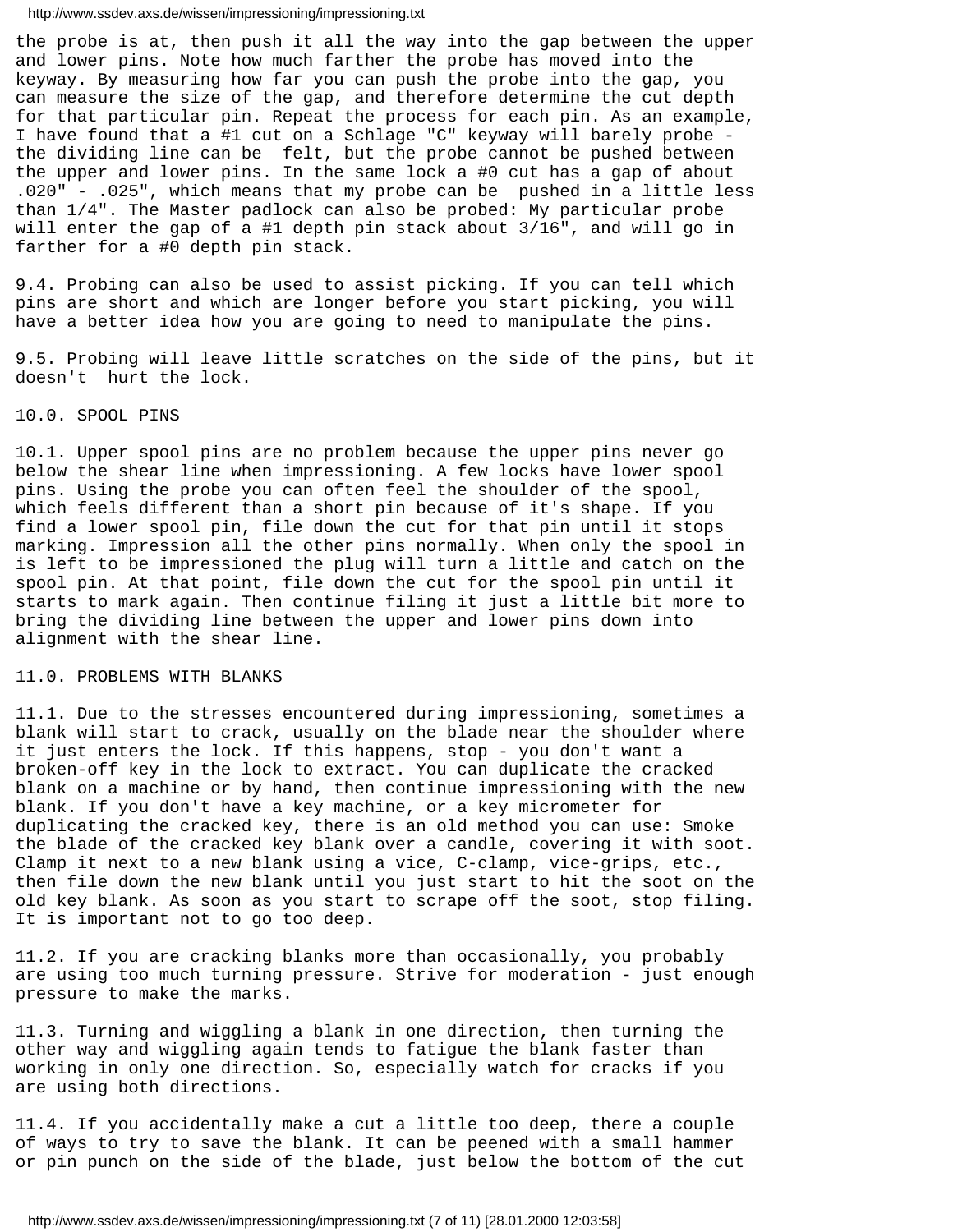the probe is at, then push it all the way into the gap between the upper and lower pins. Note how much farther the probe has moved into the keyway. By measuring how far you can push the probe into the gap, you can measure the size of the gap, and therefore determine the cut depth for that particular pin. Repeat the process for each pin. As an example, I have found that a #1 cut on a Schlage "C" keyway will barely probe the dividing line can be felt, but the probe cannot be pushed between the upper and lower pins. In the same lock a #0 cut has a gap of about .020" - .025", which means that my probe can be pushed in a little less than 1/4". The Master padlock can also be probed: My particular probe will enter the gap of a #1 depth pin stack about 3/16", and will go in farther for a #0 depth pin stack.

9.4. Probing can also be used to assist picking. If you can tell which pins are short and which are longer before you start picking, you will have a better idea how you are going to need to manipulate the pins.

9.5. Probing will leave little scratches on the side of the pins, but it doesn't hurt the lock.

### 10.0. SPOOL PINS

10.1. Upper spool pins are no problem because the upper pins never go below the shear line when impressioning. A few locks have lower spool pins. Using the probe you can often feel the shoulder of the spool, which feels different than a short pin because of it's shape. If you find a lower spool pin, file down the cut for that pin until it stops marking. Impression all the other pins normally. When only the spool in is left to be impressioned the plug will turn a little and catch on the spool pin. At that point, file down the cut for the spool pin until it starts to mark again. Then continue filing it just a little bit more to bring the dividing line between the upper and lower pins down into alignment with the shear line.

## 11.0. PROBLEMS WITH BLANKS

11.1. Due to the stresses encountered during impressioning, sometimes a blank will start to crack, usually on the blade near the shoulder where it just enters the lock. If this happens, stop - you don't want a broken-off key in the lock to extract. You can duplicate the cracked blank on a machine or by hand, then continue impressioning with the new blank. If you don't have a key machine, or a key micrometer for duplicating the cracked key, there is an old method you can use: Smoke the blade of the cracked key blank over a candle, covering it with soot. Clamp it next to a new blank using a vice, C-clamp, vice-grips, etc., then file down the new blank until you just start to hit the soot on the old key blank. As soon as you start to scrape off the soot, stop filing. It is important not to go too deep.

11.2. If you are cracking blanks more than occasionally, you probably are using too much turning pressure. Strive for moderation - just enough pressure to make the marks.

11.3. Turning and wiggling a blank in one direction, then turning the other way and wiggling again tends to fatigue the blank faster than working in only one direction. So, especially watch for cracks if you are using both directions.

11.4. If you accidentally make a cut a little too deep, there a couple of ways to try to save the blank. It can be peened with a small hammer or pin punch on the side of the blade, just below the bottom of the cut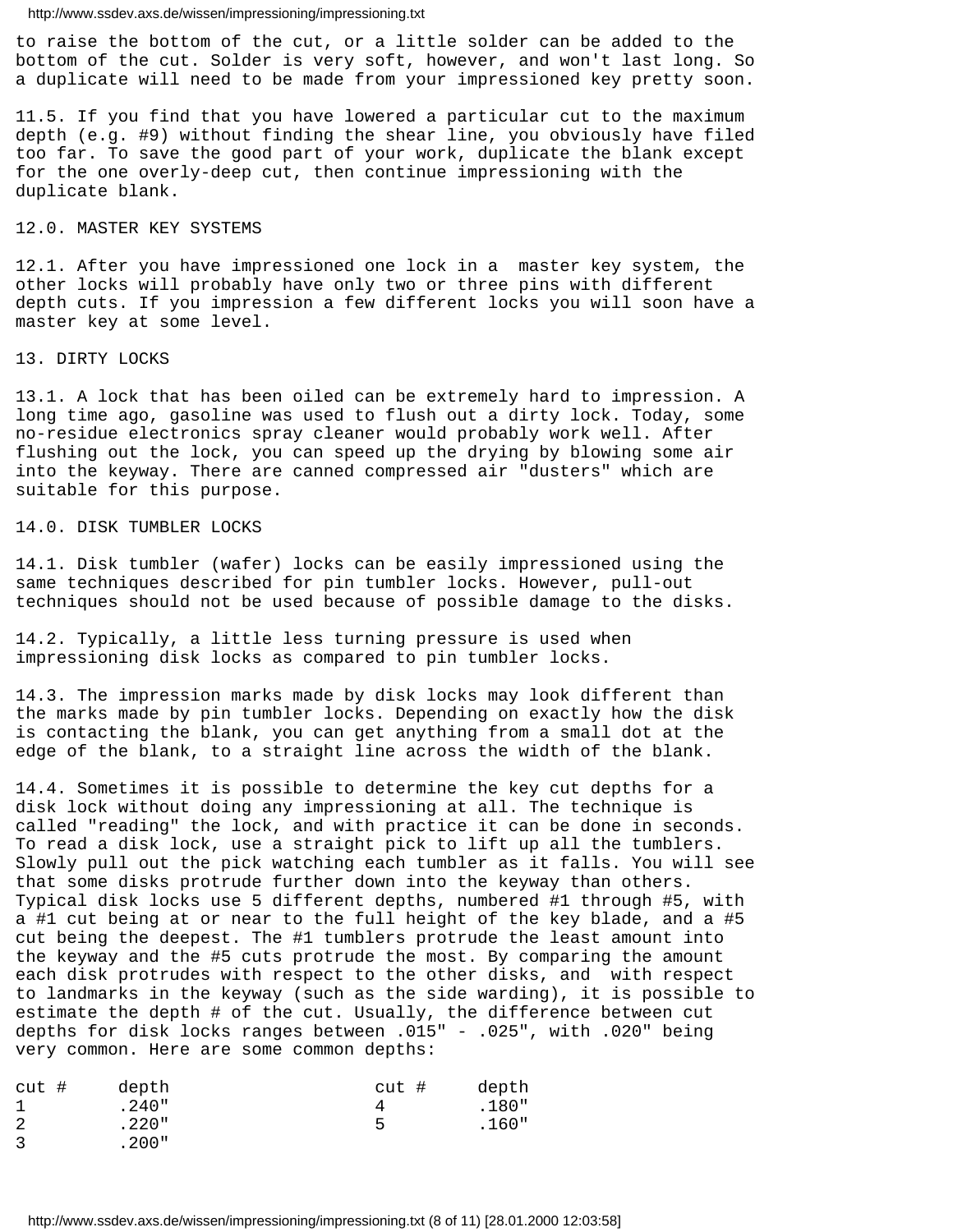to raise the bottom of the cut, or a little solder can be added to the bottom of the cut. Solder is very soft, however, and won't last long. So a duplicate will need to be made from your impressioned key pretty soon.

11.5. If you find that you have lowered a particular cut to the maximum depth (e.g. #9) without finding the shear line, you obviously have filed too far. To save the good part of your work, duplicate the blank except for the one overly-deep cut, then continue impressioning with the duplicate blank.

## 12.0. MASTER KEY SYSTEMS

12.1. After you have impressioned one lock in a master key system, the other locks will probably have only two or three pins with different depth cuts. If you impression a few different locks you will soon have a master key at some level.

### 13. DIRTY LOCKS

13.1. A lock that has been oiled can be extremely hard to impression. A long time ago, gasoline was used to flush out a dirty lock. Today, some no-residue electronics spray cleaner would probably work well. After flushing out the lock, you can speed up the drying by blowing some air into the keyway. There are canned compressed air "dusters" which are suitable for this purpose.

## 14.0. DISK TUMBLER LOCKS

14.1. Disk tumbler (wafer) locks can be easily impressioned using the same techniques described for pin tumbler locks. However, pull-out techniques should not be used because of possible damage to the disks.

14.2. Typically, a little less turning pressure is used when impressioning disk locks as compared to pin tumbler locks.

14.3. The impression marks made by disk locks may look different than the marks made by pin tumbler locks. Depending on exactly how the disk is contacting the blank, you can get anything from a small dot at the edge of the blank, to a straight line across the width of the blank.

14.4. Sometimes it is possible to determine the key cut depths for a disk lock without doing any impressioning at all. The technique is called "reading" the lock, and with practice it can be done in seconds. To read a disk lock, use a straight pick to lift up all the tumblers. Slowly pull out the pick watching each tumbler as it falls. You will see that some disks protrude further down into the keyway than others. Typical disk locks use 5 different depths, numbered #1 through #5, with a #1 cut being at or near to the full height of the key blade, and a #5 cut being the deepest. The #1 tumblers protrude the least amount into the keyway and the #5 cuts protrude the most. By comparing the amount each disk protrudes with respect to the other disks, and with respect to landmarks in the keyway (such as the side warding), it is possible to estimate the depth # of the cut. Usually, the difference between cut depths for disk locks ranges between .015" - .025", with .020" being very common. Here are some common depths:

| $cut$ # | depth    | cut # | depth |
|---------|----------|-------|-------|
|         | $.240$ " |       | .180" |
| -2      | $.220$ " | д     | .160" |
|         | .200"    |       |       |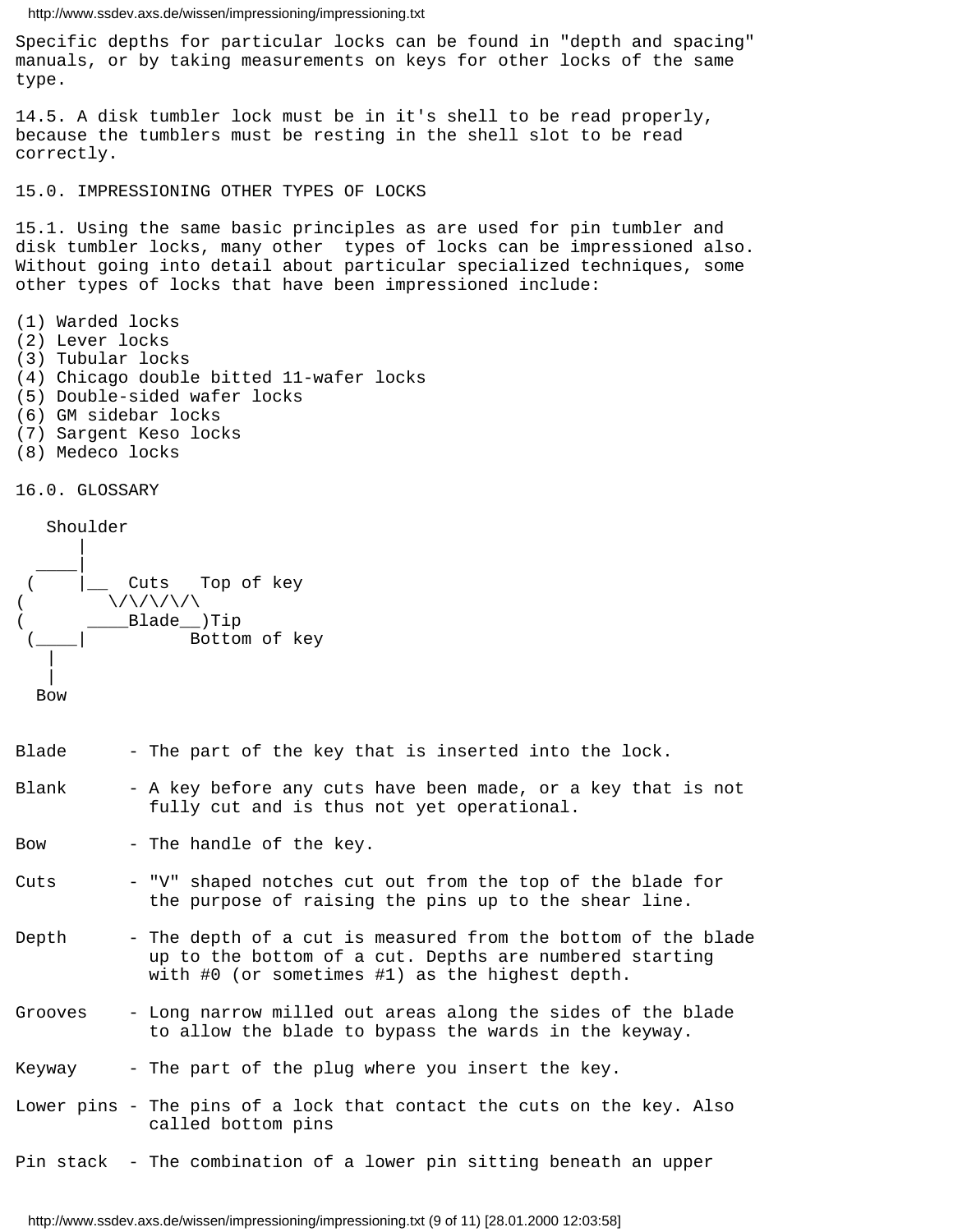Specific depths for particular locks can be found in "depth and spacing" manuals, or by taking measurements on keys for other locks of the same type.

14.5. A disk tumbler lock must be in it's shell to be read properly, because the tumblers must be resting in the shell slot to be read correctly.

15.0. IMPRESSIONING OTHER TYPES OF LOCKS

15.1. Using the same basic principles as are used for pin tumbler and disk tumbler locks, many other types of locks can be impressioned also. Without going into detail about particular specialized techniques, some other types of locks that have been impressioned include:

- (1) Warded locks
- (2) Lever locks
- (3) Tubular locks
- (4) Chicago double bitted 11-wafer locks
- (5) Double-sided wafer locks
- (6) GM sidebar locks
- (7) Sargent Keso locks
- (8) Medeco locks

16.0. GLOSSARY